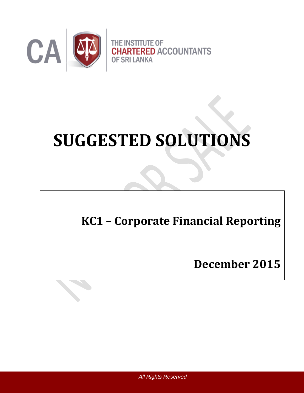

# **SUGGESTED SOLUTIONS**

# **KC1 – Corporate Financial Reporting**

**December 2015**

December 2015 Page 1 of 10 *All Rights Reserved*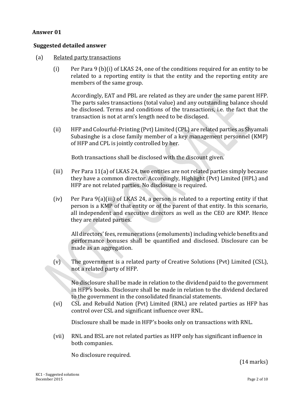#### **Answer 01**

#### **Suggested detailed answer**

- (a) Related party transactions
	- (i) Per Para 9 (b)(i) of LKAS 24, one of the conditions required for an entity to be related to a reporting entity is that the entity and the reporting entity are members of the same group.

Accordingly, EAT and PBL are related as they are under the same parent HFP. The parts sales transactions (total value) and any outstanding balance should be disclosed. Terms and conditions of the transactions, i.e. the fact that the transaction is not at arm's length need to be disclosed.

(ii) HFP and Colourful-Printing (Pvt) Limited (CPL) are related parties as Shyamali Subasinghe is a close family member of a key management personnel (KMP) of HFP and CPL is jointly controlled by her.

Both transactions shall be disclosed with the discount given.

- (iii) Per Para 11(a) of LKAS 24, two entities are not related parties simply because they have a common director. Accordingly, Highlight (Pvt) Limited (HPL) and HFP are not related parties. No disclosure is required.
- (iv) Per Para 9(a)(iii) of LKAS 24, a person is related to a reporting entity if that person is a KMP of that entity or of the parent of that entity. In this scenario, all independent and executive directors as well as the CEO are KMP. Hence they are related parties.

All directors' fees, remunerations (emoluments)including vehicle benefits and performance bonuses shall be quantified and disclosed. Disclosure can be made as an aggregation.

(v) The government is a related party of Creative Solutions (Pvt) Limited (CSL), not a related party of HFP.

No disclosure shall be made in relation to the dividend paid to the government in HFP's books. Disclosure shall be made in relation to the dividend declared to the government in the consolidated financial statements.

(vi) CSL and Rebuild Nation (Pvt) Limited (RNL) are related parties as HFP has control over CSL and significant influence over RNL.

Disclosure shall be made in HFP's books only on transactions with RNL.

(vii) RNL and BSL are not related parties as HFP only has significant influence in both companies.

No disclosure required.

(14 marks)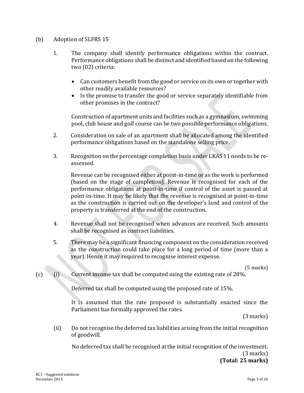#### (b) Adoption of SLFRS 15

- 1. The company shall identify performance obligations within the contract. Performance obligations shall be distinct and identified based on the following two (02) criteria:
	- Can customers benefit from the good or service on its own or together with other readily available resources?
	- Is the promise to transfer the good or service separately identifiable from other promises in the contract?

Construction of apartment units and facilities such as a gymnasium, swimming pool, club house and golf course can be two possible performance obligations.

- 2. Consideration on sale of an apartment shall be allocated among the identified performance obligations based on the standalone selling price.
- 3. Recognition on the percentage completion basis under LKAS 11 needs to be reassessed.

Revenue can be recognised either at point-in-time or as the work is performed (based on the stage of completion). Revenue is recognised for each of the performance obligations at point-in-time if control of the asset is passed at point-in-time. It may be likely that the revenue is recognised at point-in-time as the construction is carried out on the developer's land and control of the property is transferred at the end of the construction.

- 4. Revenue shall not be recognised when advances are received. Such amounts shall be recognised as contract liabilities.
- 5. There may be a significant financing component on the consideration received as the construction could take place for a long period of time (more than a year). Hence it may required to recognise interest expense.

(5 marks)

(c) (i) Current income tax shall be computed using the existing rate of 28%.

Deferred tax shall be computed using the proposed rate of 15%.

It is assumed that the rate proposed is substantially enacted since the Parliament has formally approved the rates.

(3 marks)

(ii) Do not recognise the deferred tax liabilities arising from the initial recognition of goodwill.

 No deferred tax shall be recognised at the initial recognition of the investment. (3 marks) **(Total: 25 marks)**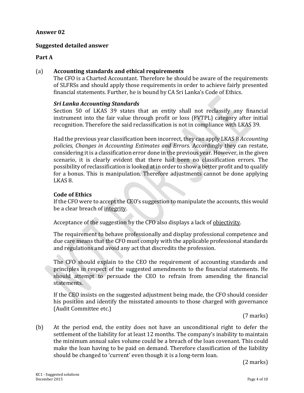### **Answer 02**

#### **Suggested detailed answer**

#### **Part A**

#### (a) **Accounting standards and ethical requirements**

The CFO is a Charted Accountant. Therefore he should be aware of the requirements of SLFRSs and should apply those requirements in order to achieve fairly presented financial statements. Further, he is bound by CA Sri Lanka's Code of Ethics.

#### *Sri Lanka Accounting Standards*

Section 50 of LKAS 39 states that an entity shall not reclassify any financial instrument into the fair value through profit or loss (FVTPL) category after initial recognition. Therefore the said reclassification is not in compliance with LKAS 39.

Had the previous year classification been incorrect, they can apply LKAS 8 *Accounting policies, Changes in Accounting Estimates and Errors*. Accordingly they can restate, considering it is a classification error done in the previous year. However, in the given scenario, it is clearly evident that there had been no classification errors. The possibility of reclassification is looked at in order to show a better profit and to qualify for a bonus. This is manipulation. Therefore adjustments cannot be done applying LKAS 8.

#### **Code of Ethics**

If the CFO were to accept the CEO's suggestion to manipulate the accounts, this would be a clear breach of integrity.

Acceptance of the suggestion by the CFO also displays a lack of objectivity.

The requirement to behave professionally and display professional competence and due care means that the CFO must comply with the applicable professional standards and regulations and avoid any act that discredits the profession.

The CFO should explain to the CEO the requirement of accounting standards and principles in respect of the suggested amendments to the financial statements. He should attempt to persuade the CEO to refrain from amending the financial statements.

If the CEO insists on the suggested adjustment being made, the CFO should consider his position and identify the misstated amounts to those charged with governance (Audit Committee etc.)

(7 marks)

(b) At the period end, the entity does not have an unconditional right to defer the settlement of the liability for at least 12 months. The company's inability to maintain the minimum annual sales volume could be a breach of the loan covenant. This could make the loan having to be paid on demand. Therefore classification of the liability should be changed to 'current' even though it is a long-term loan.

(2 marks)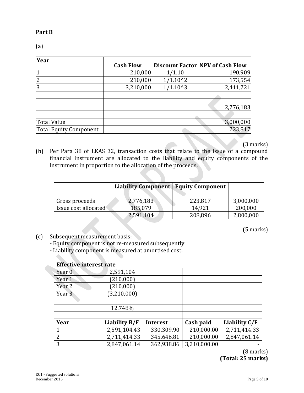#### **Part B**

(a)

| Year                          | <b>Cash Flow</b> |              | <b>Discount Factor NPV of Cash Flow</b> |
|-------------------------------|------------------|--------------|-----------------------------------------|
|                               | 210,000          | 1/1.10       | 190,909                                 |
|                               | 210,000          | $1/1.10^{2}$ | 173,554                                 |
|                               | 3,210,000        | $1/1.10^{3}$ | 2,411,721                               |
|                               |                  |              |                                         |
|                               |                  |              | 2,776,183                               |
|                               |                  |              |                                         |
| <b>Total Value</b>            |                  |              | 3,000,000                               |
| <b>Total Equity Component</b> |                  |              | 223,817                                 |

(3 marks)

(b) Per Para 38 of LKAS 32, transaction costs that relate to the issue of a compound financial instrument are allocated to the liability and equity components of the instrument in proportion to the allocation of the proceeds.

|                      | <b>Liability Component</b> | <b>Equity Component</b> |           |
|----------------------|----------------------------|-------------------------|-----------|
|                      |                            |                         |           |
| Gross proceeds       | 2,776,183                  | 223,817                 | 3,000,000 |
| Issue cost allocated | 185,079                    | 14,921                  | 200,000   |
|                      | 2,591,104                  | 208,896                 | 2,800,000 |

(5 marks)

(c) Subsequent measurement basis:

- Equity component is not re-measured subsequently

- Liability component is measured at amortised cost.

| <b>Effective interest rate</b> |               |                 |              |               |
|--------------------------------|---------------|-----------------|--------------|---------------|
| Year <sub>0</sub>              | 2,591,104     |                 |              |               |
| Year 1                         | (210,000)     |                 |              |               |
| Year <sub>2</sub>              | (210,000)     |                 |              |               |
| Year <sub>3</sub>              | (3,210,000)   |                 |              |               |
|                                |               |                 |              |               |
|                                | 12.748%       |                 |              |               |
|                                |               |                 |              |               |
| Year                           | Liability B/F | <b>Interest</b> | Cash paid    | Liability C/F |
|                                | 2,591,104.43  | 330,309.90      | 210,000.00   | 2,711,414.33  |
| $\overline{2}$                 | 2,711,414.33  | 345,646.81      | 210,000.00   | 2,847,061.14  |
| 3                              | 2,847,061.14  | 362,938.86      | 3,210,000.00 |               |

(8 marks) **(Total: 25 marks)**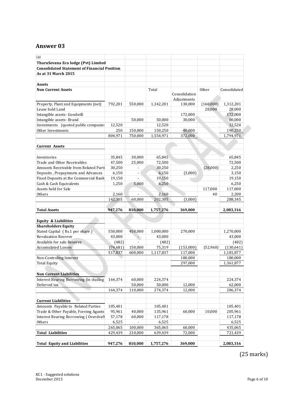# **Answer 03**

| (a)                                                                         |                 |                          |                 |               |           |                  |
|-----------------------------------------------------------------------------|-----------------|--------------------------|-----------------|---------------|-----------|------------------|
| TharuSevana Eco lodge (Pvt) Limited                                         |                 |                          |                 |               |           |                  |
| <b>Consolidated Statement of Financial Position</b>                         |                 |                          |                 |               |           |                  |
| <b>As at 31 March 2015</b>                                                  |                 |                          |                 |               |           |                  |
|                                                                             |                 |                          |                 |               |           |                  |
| <b>Assets</b>                                                               |                 |                          |                 |               |           |                  |
| <b>Non Current Assets</b>                                                   |                 |                          | Total           |               | Other     | Consolidated     |
|                                                                             |                 |                          |                 | Consolidation |           |                  |
|                                                                             |                 |                          |                 | Adjustments   |           |                  |
| Property, Plant and Equipments (net)                                        | 792,201         | 550,000                  | 1,342,201       | 130,000       | (160,000) | 1,312,201        |
| Lease hold Land                                                             |                 |                          |                 |               | 28,000    | 28,000           |
| Intangible assets- Goodwill                                                 |                 |                          |                 | 172,000       |           | 172,000          |
| Intangible assets-Brand                                                     |                 | 50,000                   | 50,000          | 30,000        |           | 80,000           |
| Investments (quoted public companie                                         | 12,520          |                          | 12,520          |               |           | 12,520           |
| Other Investments                                                           | 250             | 150,000                  | 150,250         | 40,000        |           | 190,250          |
|                                                                             | 804,971         | 750,000                  | 1,554,971       | 372,000       |           | 1,794,971        |
|                                                                             |                 |                          |                 |               |           |                  |
| <b>Current Assets</b>                                                       |                 |                          |                 |               |           |                  |
|                                                                             | 35,845          |                          |                 |               |           |                  |
| Inventories<br>Trade and Other Receivables                                  |                 | 30,000                   | 65,845          |               |           | 65,845           |
|                                                                             | 47,500          | 25,000                   | 72,500          |               |           | 72,500           |
| Amounts Receivable from Related Parti                                       | 30,250<br>6,150 | $\overline{\phantom{a}}$ | 30,250<br>6,150 |               | (28,000)  | 2,250<br>3,150   |
| Deposits, Prepaymnets and Advances<br>Fixed Deposits at the Commercial Bank |                 | $\blacksquare$           |                 | (3,000)       |           |                  |
| Cash & Cash Equivalents                                                     | 19,150<br>1,250 | 5,000                    | 19,150          |               |           | 19,150<br>6,250  |
| Assets held for Sale                                                        |                 |                          | 6,250           |               | 117,000   |                  |
| Others                                                                      | 2,160           |                          | 2,160           |               |           | 117,000<br>2,200 |
|                                                                             | 142,305         | 60,000                   | 202,305         | (3,000)       | 40        | 288,345          |
|                                                                             |                 |                          |                 |               |           |                  |
| <b>Total Assets</b>                                                         | 947,276         | 810,000                  | 1,757,276       | 369,000       |           | 2,083,316        |
|                                                                             |                 |                          |                 |               |           |                  |
| Equity & Liabilities                                                        |                 |                          |                 |               |           |                  |
| <b>Shareholders Equity</b>                                                  |                 |                          |                 |               |           |                  |
| Stated Capital (Rs.1 per share)                                             | 550,000         | 450,000                  | 1,000,000       | 270,000       |           | 1,270,000        |
| <b>Revaluation Resreve</b>                                                  | 43,000          | ÷.                       | 43,000          |               |           | 43,000           |
| Available for sale Reserve                                                  | (482)           | $\overline{\phantom{a}}$ | (482)           |               |           | (482)            |
| <b>Accumulated Losses</b>                                                   | (74, 681)       | 150,000                  | 75,319          | (153,000)     | (52,960)  | (130,641)        |
|                                                                             | 517,837         | 600,000                  | 1,117,837       | 117,000       |           | 1,181,877        |
| Non-Controling Interest                                                     |                 |                          |                 | 180,000       |           | 180,000          |
| <b>Total Equity</b>                                                         |                 |                          |                 | 297,000       |           | 1,361,877        |
|                                                                             |                 |                          |                 |               |           |                  |
| <b>Non Current Liabilities</b>                                              |                 |                          |                 |               |           |                  |
| <b>Interest Bearing Borrowing (in cluding</b>                               | 164,374         | 60,000                   | 224,374         |               |           | 224,374          |
| Deferred tax                                                                |                 | 50,000                   | 50,000          | 12,000        |           | 62,000           |
|                                                                             | 164,374         | 110,000                  | 274,374         | 12,000        |           | 286,374          |
| <b>Current Liabilities</b>                                                  |                 |                          |                 |               |           |                  |
| Amounts Payable to Related Parties                                          | 105,401         |                          | 105,401         |               |           | 105,401          |
| Trade & Other Payable, Foreing Agants                                       | 95,961          | 40,000                   | 135,961         | 60,000        | 10,000    | 205,961          |
| <b>Interest Bearing Borrowing (Overdraft</b>                                | 57,178          | 60,000                   | 117,178         |               |           | 117,178          |
| Others                                                                      | 6,525           |                          | 6,525           |               |           | 6,525            |
|                                                                             | 265,065         | 100,000                  | 365,065         | 60,000        |           | 435,065          |
| <b>Total Liabilities</b>                                                    | 429,439         | 210,000                  | 639,439         | 72,000        |           | 721,439          |
|                                                                             |                 |                          |                 |               |           |                  |
| <b>Total Equity and Liabilities</b>                                         | 947,276         | 810,000                  | 1,757,276       | 369,000       |           | 2,083,316        |
|                                                                             |                 |                          |                 |               |           |                  |

(25 marks)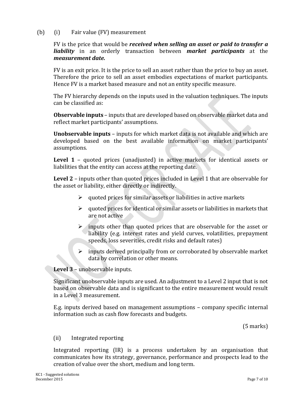(b) (i) Fair value (FV) measurement

FV is the price that would be *received when selling an asset or paid to transfer a liability* in an orderly transaction between *market participants* at the *measurement date.*

FV is an exit price. It is the price to sell an asset rather than the price to buy an asset. Therefore the price to sell an asset embodies expectations of market participants. Hence FV is a market based measure and not an entity specific measure.

The FV hierarchy depends on the inputs used in the valuation techniques. The inputs can be classified as:

**Observable inputs** – inputs that are developed based on observable market data and reflect market participants' assumptions.

**Unobservable inputs** – inputs for which market data is not available and which are developed based on the best available information on market participants' assumptions.

**Level 1** – quoted prices (unadjusted) in active markets for identical assets or liabilities that the entity can access at the reporting date.

**Level 2** – inputs other than quoted prices included in Level 1 that are observable for the asset or liability, either directly or indirectly.

- $\triangleright$  quoted prices for similar assets or liabilities in active markets
- $\triangleright$  quoted prices for identical or similar assets or liabilities in markets that are not active
- $\triangleright$  inputs other than quoted prices that are observable for the asset or liability (e.g. interest rates and yield curves, volatilities, prepayment speeds, loss severities, credit risks and default rates)
- $\triangleright$  inputs derived principally from or corroborated by observable market data by correlation or other means.

**Level 3** – unobservable inputs.

Significant unobservable inputs are used. An adjustment to a Level 2 input that is not based on observable data and is significant to the entire measurement would result in a Level 3 measurement.

E.g. inputs derived based on management assumptions – company specific internal information such as cash flow forecasts and budgets.

(5 marks)

## (ii) Integrated reporting

Integrated reporting (IR) is a process undertaken by an organisation that communicates how its strategy, governance, performance and prospects lead to the creation of value over the short, medium and long term.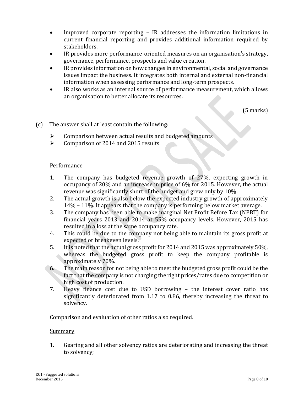- Improved corporate reporting IR addresses the information limitations in current financial reporting and provides additional information required by stakeholders.
- IR provides more performance-oriented measures on an organisation's strategy, governance, performance, prospects and value creation.
- IR provides information on how changes in environmental, social and governance issues impact the business. It integrates both internal and external non-financial information when assessing performance and long-term prospects.
- IR also works as an internal source of performance measurement, which allows an organisation to better allocate its resources.

(5 marks)

- (c) The answer shall at least contain the following:
	- $\triangleright$  Comparison between actual results and budgeted amounts
	- $\triangleright$  Comparison of 2014 and 2015 results

#### Performance

- 1. The company has budgeted revenue growth of 27%, expecting growth in occupancy of 20% and an increase in price of 6% for 2015. However, the actual revenue was significantly short of the budget and grew only by 10%.
- 2. The actual growth is also below the expected industry growth of approximately 14% – 11%. It appears that the company is performing below market average.
- 3. The company has been able to make marginal Net Profit Before Tax (NPBT) for financial years 2013 and 2014 at 55% occupancy levels. However, 2015 has resulted in a loss at the same occupancy rate.
- 4. This could be due to the company not being able to maintain its gross profit at expected or breakeven levels.
- 5. It is noted that the actual gross profit for 2014 and 2015 was approximately 50%, whereas the budgeted gross profit to keep the company profitable is approximately 70%.
- 6. The main reason for not being able to meet the budgeted gross profit could be the fact that the company is not charging the right prices/rates due to competition or high cost of production.
- 7. Heavy finance cost due to USD borrowing the interest cover ratio has significantly deteriorated from 1.17 to 0.86, thereby increasing the threat to solvency.

Comparison and evaluation of other ratios also required.

#### Summary

1. Gearing and all other solvency ratios are deteriorating and increasing the threat to solvency;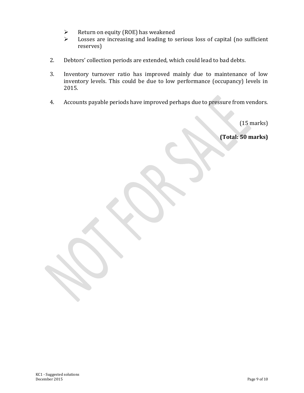- $\triangleright$  Return on equity (ROE) has weakened
- Losses are increasing and leading to serious loss of capital (no sufficient reserves)
- 2. Debtors' collection periods are extended, which could lead to bad debts.
- 3. Inventory turnover ratio has improved mainly due to maintenance of low inventory levels. This could be due to low performance (occupancy) levels in 2015.
- 4. Accounts payable periods have improved perhaps due to pressure from vendors.

(15 marks)

**(Total: 50 marks)**